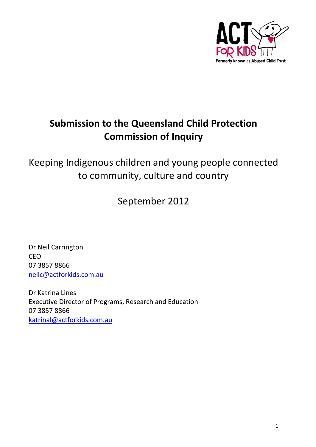

# **Submission to the Queensland Child Protection Commission of Inquiry**

Keeping Indigenous children and young people connected to community, culture and country

September 2012

Dr Neil Carrington CEO 07 3857 8866 [neilc@actforkids.com.au](mailto:neilc@actforkids.com.au)

Dr Katrina Lines Executive Director of Programs, Research and Education 07 3857 8866 [katrinal@actforkids.com.au](mailto:katrinal@actforkids.com.au)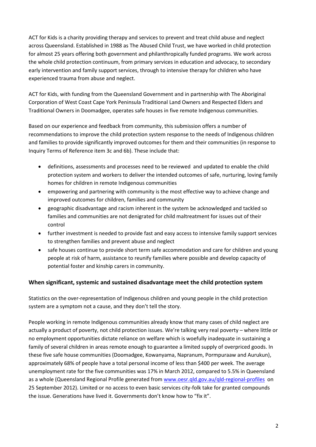ACT for Kids is a charity providing therapy and services to prevent and treat child abuse and neglect across Queensland. Established in 1988 as The Abused Child Trust, we have worked in child protection for almost 25 years offering both government and philanthropically funded programs. We work across the whole child protection continuum, from primary services in education and advocacy, to secondary early intervention and family support services, through to intensive therapy for children who have experienced trauma from abuse and neglect.

ACT for Kids, with funding from the Queensland Government and in partnership with The Aboriginal Corporation of West Coast Cape York Peninsula Traditional Land Owners and Respected Elders and Traditional Owners in Doomadgee, operates safe houses in five remote Indigenous communities.

Based on our experience and feedback from community, this submission offers a number of recommendations to improve the child protection system response to the needs of Indigenous children and families to provide significantly improved outcomes for them and their communities (in response to Inquiry Terms of Reference item 3c and 6b). These include that:

- definitions, assessments and processes need to be reviewed and updated to enable the child protection system and workers to deliver the intended outcomes of safe, nurturing, loving family homes for children in remote Indigenous communities
- empowering and partnering with community is the most effective way to achieve change and improved outcomes for children, families and community
- geographic disadvantage and racism inherent in the system be acknowledged and tackled so families and communities are not denigrated for child maltreatment for issues out of their control
- further investment is needed to provide fast and easy access to intensive family support services to strengthen families and prevent abuse and neglect
- safe houses continue to provide short term safe accommodation and care for children and young people at risk of harm, assistance to reunify families where possible and develop capacity of potential foster and kinship carers in community.

## **When significant, systemic and sustained disadvantage meet the child protection system**

Statistics on the over-representation of Indigenous children and young people in the child protection system are a symptom not a cause, and they don't tell the story.

People working in remote Indigenous communities already know that many cases of child neglect are actually a product of poverty, not child protection issues. We're talking very real poverty – where little or no employment opportunities dictate reliance on welfare which is woefully inadequate in sustaining a family of several children in areas remote enough to guarantee a limited supply of overpriced goods. In these five safe house communities (Doomadgee, Kowanyama, Napranum, Pormpuraaw and Aurukun), approximately 68% of people have a total personal income of less than \$400 per week. The average unemployment rate for the five communities was 17% in March 2012, compared to 5.5% in Queensland as a whole (Queensland Regional Profile generated fro[m www.oesr.qld.gov.au/qld-regional-profiles](http://www.oesr.qld.gov.au/qld-regional-profiles) on 25 September 2012). Limited or no access to even basic services city-folk take for granted compounds the issue. Generations have lived it. Governments don't know how to "fix it".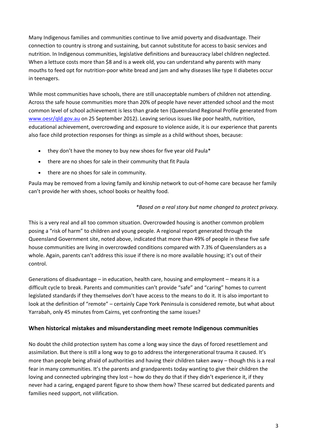Many Indigenous families and communities continue to live amid poverty and disadvantage. Their connection to country is strong and sustaining, but cannot substitute for access to basic services and nutrition. In Indigenous communities, legislative definitions and bureaucracy label children neglected. When a lettuce costs more than \$8 and is a week old, you can understand why parents with many mouths to feed opt for nutrition-poor white bread and jam and why diseases like type II diabetes occur in teenagers.

While most communities have schools, there are still unacceptable numbers of children not attending. Across the safe house communities more than 20% of people have never attended school and the most common level of school achievement is less than grade ten (Queensland Regional Profile generated from [www.oesr/qld.gov.au](http://www.oesr/qld.gov.au) on 25 September 2012). Leaving serious issues like poor health, nutrition, educational achievement, overcrowding and exposure to violence aside, it is our experience that parents also face child protection responses for things as simple as a child without shoes, because:

- they don't have the money to buy new shoes for five year old Paula\*
- there are no shoes for sale in their community that fit Paula
- there are no shoes for sale in community.

Paula may be removed from a loving family and kinship network to out-of-home care because her family can't provide her with shoes, school books or healthy food.

## *\*Based on a real story but name changed to protect privacy.*

This is a very real and all too common situation. Overcrowded housing is another common problem posing a "risk of harm" to children and young people. A regional report generated through the Queensland Government site, noted above, indicated that more than 49% of people in these five safe house communities are living in overcrowded conditions compared with 7.3% of Queenslanders as a whole. Again, parents can't address this issue if there is no more available housing; it's out of their control.

Generations of disadvantage – in education, health care, housing and employment – means it is a difficult cycle to break. Parents and communities can't provide "safe" and "caring" homes to current legislated standards if they themselves don't have access to the means to do it. It is also important to look at the definition of "remote" – certainly Cape York Peninsula is considered remote, but what about Yarrabah, only 45 minutes from Cairns, yet confronting the same issues?

## **When historical mistakes and misunderstanding meet remote Indigenous communities**

No doubt the child protection system has come a long way since the days of forced resettlement and assimilation. But there is still a long way to go to address the intergenerational trauma it caused. It's more than people being afraid of authorities and having their children taken away – though this is a real fear in many communities. It's the parents and grandparents today wanting to give their children the loving and connected upbringing they lost – how do they do that if they didn't experience it, if they never had a caring, engaged parent figure to show them how? These scarred but dedicated parents and families need support, not vilification.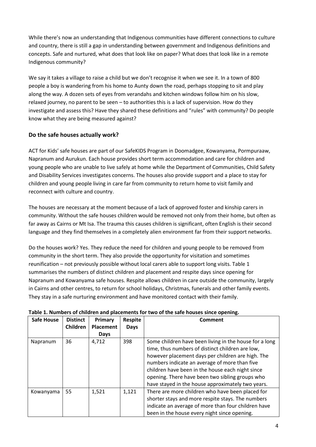While there's now an understanding that Indigenous communities have different connections to culture and country, there is still a gap in understanding between government and Indigenous definitions and concepts. Safe and nurtured, what does that look like on paper? What does that look like in a remote Indigenous community?

We say it takes a village to raise a child but we don't recognise it when we see it. In a town of 800 people a boy is wandering from his home to Aunty down the road, perhaps stopping to sit and play along the way. A dozen sets of eyes from verandahs and kitchen windows follow him on his slow, relaxed journey, no parent to be seen – to authorities this is a lack of supervision. How do they investigate and assess this? Have they shared these definitions and "rules" with community? Do people know what they are being measured against?

## **Do the safe houses actually work?**

ACT for Kids' safe houses are part of our SafeKIDS Program in Doomadgee, Kowanyama, Pormpuraaw, Napranum and Aurukun. Each house provides short term accommodation and care for children and young people who are unable to live safely at home while the Department of Communities, Child Safety and Disability Services investigates concerns. The houses also provide support and a place to stay for children and young people living in care far from community to return home to visit family and reconnect with culture and country.

The houses are necessary at the moment because of a lack of approved foster and kinship carers in community. Without the safe houses children would be removed not only from their home, but often as far away as Cairns or Mt Isa. The trauma this causes children is significant, often English is their second language and they find themselves in a completely alien environment far from their support networks.

Do the houses work? Yes. They reduce the need for children and young people to be removed from community in the short term. They also provide the opportunity for visitation and sometimes reunification – not previously possible without local carers able to support long visits. Table 1 summarises the numbers of distinct children and placement and respite days since opening for Napranum and Kowanyama safe houses. Respite allows children in care outside the community, largely in Cairns and other centres, to return for school holidays, Christmas, funerals and other family events. They stay in a safe nurturing environment and have monitored contact with their family.

| <b>Safe House</b> | <b>Distinct</b> | Primary          | <b>Respite</b> | Comment                                                |
|-------------------|-----------------|------------------|----------------|--------------------------------------------------------|
|                   | Children        | <b>Placement</b> | <b>Days</b>    |                                                        |
|                   |                 | <b>Days</b>      |                |                                                        |
| Napranum          | 36              | 4,712            | 398            | Some children have been living in the house for a long |
|                   |                 |                  |                | time, thus numbers of distinct children are low,       |
|                   |                 |                  |                | however placement days per children are high. The      |
|                   |                 |                  |                | numbers indicate an average of more than five          |
|                   |                 |                  |                | children have been in the house each night since       |
|                   |                 |                  |                | opening. There have been two sibling groups who        |
|                   |                 |                  |                | have stayed in the house approximately two years.      |
| Kowanyama         | 55              | 1,521            | 1,121          | There are more children who have been placed for       |
|                   |                 |                  |                | shorter stays and more respite stays. The numbers      |
|                   |                 |                  |                | indicate an average of more than four children have    |
|                   |                 |                  |                | been in the house every night since opening.           |

#### **Table 1. Numbers of children and placements for two of the safe houses since opening.**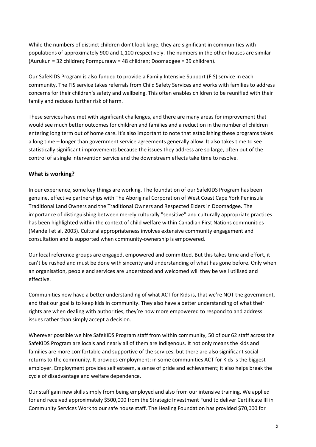While the numbers of distinct children don't look large, they are significant in communities with populations of approximately 900 and 1,100 respectively. The numbers in the other houses are similar (Aurukun = 32 children; Pormpuraaw = 48 children; Doomadgee = 39 children).

Our SafeKIDS Program is also funded to provide a Family Intensive Support (FIS) service in each community. The FIS service takes referrals from Child Safety Services and works with families to address concerns for their children's safety and wellbeing. This often enables children to be reunified with their family and reduces further risk of harm.

These services have met with significant challenges, and there are many areas for improvement that would see much better outcomes for children and families and a reduction in the number of children entering long term out of home care. It's also important to note that establishing these programs takes a long time – longer than government service agreements generally allow. It also takes time to see statistically significant improvements because the issues they address are so large, often out of the control of a single intervention service and the downstream effects take time to resolve.

## **What is working?**

In our experience, some key things are working. The foundation of our SafeKIDS Program has been genuine, effective partnerships with The Aboriginal Corporation of West Coast Cape York Peninsula Traditional Land Owners and the Traditional Owners and Respected Elders in Doomadgee. The importance of distinguishing between merely culturally "sensitive" and culturally appropriate practices has been highlighted within the context of child welfare within Canadian First Nations communities (Mandell et al, 2003). Cultural appropriateness involves extensive community engagement and consultation and is supported when community-ownership is empowered.

Our local reference groups are engaged, empowered and committed. But this takes time and effort, it can't be rushed and must be done with sincerity and understanding of what has gone before. Only when an organisation, people and services are understood and welcomed will they be well utilised and effective.

Communities now have a better understanding of what ACT for Kids is, that we're NOT the government, and that our goal is to keep kids in community. They also have a better understanding of what their rights are when dealing with authorities, they're now more empowered to respond to and address issues rather than simply accept a decision.

Wherever possible we hire SafeKIDS Program staff from within community, 50 of our 62 staff across the SafeKIDS Program are locals and nearly all of them are Indigenous. It not only means the kids and families are more comfortable and supportive of the services, but there are also significant social returns to the community. It provides employment; in some communities ACT for Kids is the biggest employer. Employment provides self esteem, a sense of pride and achievement; it also helps break the cycle of disadvantage and welfare dependence.

Our staff gain new skills simply from being employed and also from our intensive training. We applied for and received approximately \$500,000 from the Strategic Investment Fund to deliver Certificate III in Community Services Work to our safe house staff. The Healing Foundation has provided \$70,000 for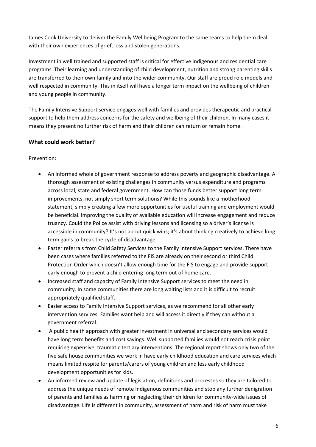James Cook University to deliver the Family Wellbeing Program to the same teams to help them deal with their own experiences of grief, loss and stolen generations.

Investment in well trained and supported staff is critical for effective Indigenous and residential care programs. Their learning and understanding of child development, nutrition and strong parenting skills are transferred to their own family and into the wider community. Our staff are proud role models and well respected in community. This in itself will have a longer term impact on the wellbeing of children and young people in community.

The Family Intensive Support service engages well with families and provides therapeutic and practical support to help them address concerns for the safety and wellbeing of their children. In many cases it means they present no further risk of harm and their children can return or remain home.

## **What could work better?**

Prevention:

- An informed whole of government response to address poverty and geographic disadvantage. A thorough assessment of existing challenges in community versus expenditure and programs across local, state and federal government. How can those funds better support long term improvements, not simply short term solutions? While this sounds like a motherhood statement, simply creating a few more opportunities for useful training and employment would be beneficial. Improving the quality of available education will increase engagement and reduce truancy. Could the Police assist with driving lessons and licensing so a driver's license is accessible in community? It's not about quick wins; it's about thinking creatively to achieve long term gains to break the cycle of disadvantage.
- Faster referrals from Child Safety Services to the Family Intensive Support services. There have been cases where families referred to the FIS are already on their second or third Child Protection Order which doesn't allow enough time for the FIS to engage and provide support early enough to prevent a child entering long term out of home care.
- Increased staff and capacity of Family Intensive Support services to meet the need in community. In some communities there are long waiting lists and it is difficult to recruit appropriately qualified staff.
- Easier access to Family Intensive Support services, as we recommend for all other early intervention services. Families want help and will access it directly if they can without a government referral.
- A public health approach with greater investment in universal and secondary services would have long term benefits and cost savings. Well supported families would not reach crisis point requiring expensive, traumatic tertiary interventions. The regional report shows only two of the five safe house communities we work in have early childhood education and care services which means limited respite for parents/carers of young children and less early childhood development opportunities for kids.
- An informed review and update of legislation, definitions and processes so they are tailored to address the unique needs of remote Indigenous communities and stop any further denigration of parents and families as harming or neglecting their children for community-wide issues of disadvantage. Life is different in community, assessment of harm and risk of harm must take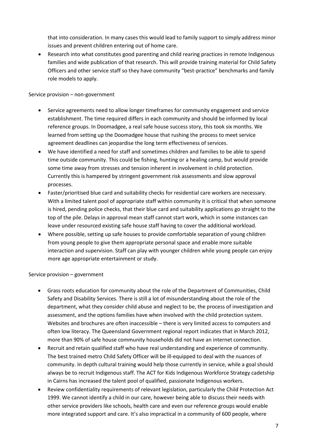that into consideration. In many cases this would lead to family support to simply address minor issues and prevent children entering out of home care.

 Research into what constitutes good parenting and child rearing practices in remote Indigenous families and wide publication of that research. This will provide training material for Child Safety Officers and other service staff so they have community "best-practice" benchmarks and family role models to apply.

Service provision – non-government

- Service agreements need to allow longer timeframes for community engagement and service establishment. The time required differs in each community and should be informed by local reference groups. In Doomadgee, a real safe house success story, this took six months. We learned from setting up the Doomadgee house that rushing the process to meet service agreement deadlines can jeopardise the long term effectiveness of services.
- We have identified a need for staff and sometimes children and families to be able to spend time outside community. This could be fishing, hunting or a healing camp, but would provide some time away from stresses and tension inherent in involvement in child protection. Currently this is hampered by stringent government risk assessments and slow approval processes.
- Faster/prioritised blue card and suitability checks for residential care workers are necessary. With a limited talent pool of appropriate staff within community it is critical that when someone is hired, pending police checks, that their blue card and suitability applications go straight to the top of the pile. Delays in approval mean staff cannot start work, which in some instances can leave under resourced existing safe house staff having to cover the additional workload.
- Where possible, setting up safe houses to provide comfortable separation of young children from young people to give them appropriate personal space and enable more suitable interaction and supervision. Staff can play with younger children while young people can enjoy more age appropriate entertainment or study.

Service provision – government

- Grass roots education for community about the role of the Department of Communities, Child Safety and Disability Services. There is still a lot of misunderstanding about the role of the department, what they consider child abuse and neglect to be, the process of investigation and assessment, and the options families have when involved with the child protection system. Websites and brochures are often inaccessible – there is very limited access to computers and often low literacy. The Queensland Government regional report indicates that in March 2012, more than 90% of safe house community households did not have an internet connection.
- Recruit and retain qualified staff who have real understanding and experience of community. The best trained metro Child Safety Officer will be ill-equipped to deal with the nuances of community. In depth cultural training would help those currently in service, while a goal should always be to recruit Indigenous staff. The ACT for Kids Indigenous Workforce Strategy cadetship in Cairns has increased the talent pool of qualified, passionate Indigenous workers.
- Review confidentiality requirements of relevant legislation, particularly the Child Protection Act 1999. We cannot identify a child in our care, however being able to discuss their needs with other service providers like schools, health care and even our reference groups would enable more integrated support and care. It's also impractical in a community of 600 people, where